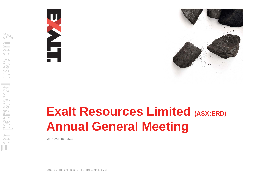



# **Exalt Resources Limited (ASX:ERD) Annual General Meeting**

28 November 2013

© COPYRIGHT EXALT RESOURCES LTD | ACN 145 327 617 |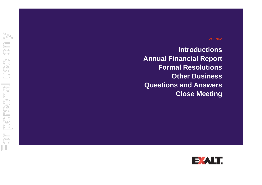#### AGENDA

**Introductions Annual Financial Report Formal Resolutions Other Business Questions and Answers Close Meeting**

For personal use only For personal use only

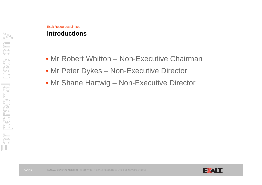#### Exalt Resources Limited**Introductions**

- Mr Robert Whitton Non-Executive Chairman
- Mr Peter Dykes Non-Executive Director
- Mr Shane Hartwig Non-Executive Director

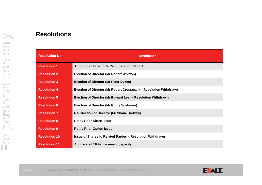#### **Resolutions**

| <b>Resolution No.</b> | <b>Resolution</b>                                                |
|-----------------------|------------------------------------------------------------------|
| <b>Resolution 1</b>   | <b>Adoption of Director's Remuneration Report</b>                |
| <b>Resolution 2</b>   | <b>Election of Director (Mr Robert Whitton)</b>                  |
| <b>Resolution 3</b>   | <b>Election of Director (Mr Peter Dykes)</b>                     |
| <b>Resolution 4</b>   | Election of Director (Mr Robert Crossman) - Resolution Withdrawn |
| <b>Resolution 5</b>   | Election of Director (Mr Edward Lee) - Resolution Withdrawn      |
| <b>Resolution 6</b>   | <b>Election of Director (Mr Romy Soekarno)</b>                   |
| <b>Resolution 7</b>   | Re- election of Director (Mr Shane Hartwig)                      |
| <b>Resolution 8</b>   | <b>Ratify Prior Share Issue</b>                                  |
| <b>Resolution 9</b>   | <b>Ratify Prior Option Issue</b>                                 |
| <b>Resolution 10</b>  | <b>Issue of Shares to Related Parties - Resolution Withdrawn</b> |
| <b>Resolution 11</b>  | Approval of 10 % placement capacity                              |

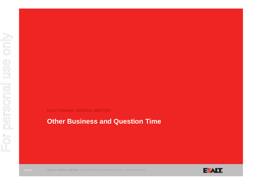EXALT ANNUAL GENERAL MEETING

## **Other Business and Question Time**